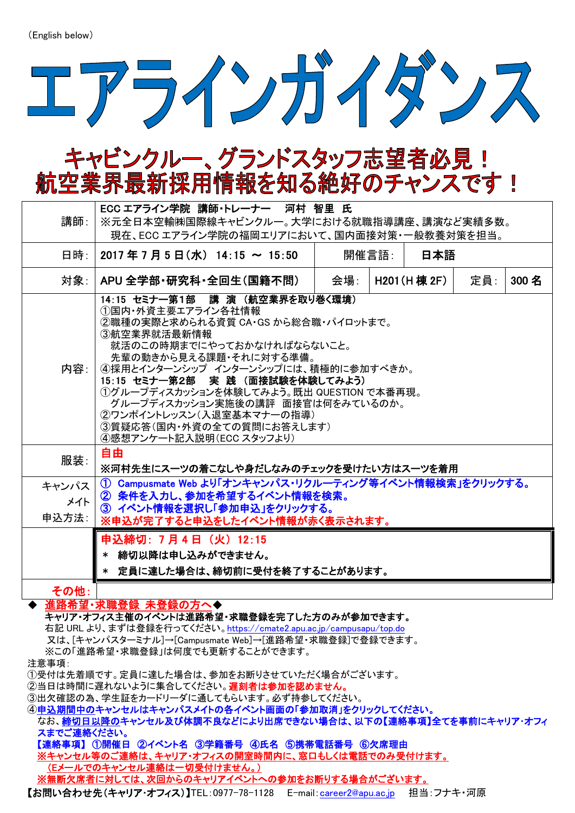

## キャビンクルー、グランドスタッフ志望者必見! 航空業界最新採用情報を知る絶好のチャンスです!

| 講師:                                                                                                                                                                                                                                      | ECC エアライン学院 講師・トレーナー 河村 智里 氏<br>※元全日本空輸㈱国際線キャビンクルー。大学における就職指導講座、講演など実績多数。<br>現在、ECCエアライン学院の福岡エリアにおいて、国内面接対策・一般教養対策を担当。                                                                                                                                                                                                                                                                                           |     |       |               |     |       |
|------------------------------------------------------------------------------------------------------------------------------------------------------------------------------------------------------------------------------------------|------------------------------------------------------------------------------------------------------------------------------------------------------------------------------------------------------------------------------------------------------------------------------------------------------------------------------------------------------------------------------------------------------------------|-----|-------|---------------|-----|-------|
| 日時:                                                                                                                                                                                                                                      | $2017$ 年 7 月 5 日 (水) 14:15 ~ 15:50                                                                                                                                                                                                                                                                                                                                                                               |     | 開催言語: | 日本語           |     |       |
| 対象:                                                                                                                                                                                                                                      | APU 全学部·研究科·全回生(国籍不問)                                                                                                                                                                                                                                                                                                                                                                                            | 会場: |       | H201 (H 棟 2F) | 定員: | 300 名 |
| 内容: 1                                                                                                                                                                                                                                    | 14:15 セミナー第1部 講演 (航空業界を取り巻く環境)<br>①国内・外資主要エアライン各社情報<br>②職種の実際と求められる資質 CA・GS から総合職・パイロットまで。<br>③航空業界就活最新情報<br>就活のこの時期までにやっておかなければならないこと。<br>先輩の動きから見える課題・それに対する準備。<br>④採用とインターンシップ インターンシップには、積極的に参加すべきか。<br>15:15 セミナー第2部 実践 (面接試験を体験してみよう)<br>①グループディスカッションを体験してみよう。既出 QUESTION で本番再現。<br>グループディスカッション実施後の講評 面接官は何をみているのか。<br>②ワンポイントレッスン(入退室基本マナーの指導)<br>③質疑応答(国内・外資の全ての質問にお答えします)<br>④感想アンケート記入説明(ECC スタッフより) |     |       |               |     |       |
| 服装:                                                                                                                                                                                                                                      | 自由<br>※河村先生にスーツの着こなしや身だしなみのチェックを受けたい方はスーツを着用                                                                                                                                                                                                                                                                                                                                                                     |     |       |               |     |       |
| キャンパス<br>メイト<br>申込方法:                                                                                                                                                                                                                    | ① Campusmate Web より「オンキャンパス・リクルーティング等イベント情報検索」をクリックする。<br>② 条件を入力し、参加を希望するイベント情報を検索。<br>3 イベント情報を選択し「参加申込」をクリックする。<br>※申込が完了すると申込をしたイベント情報が赤く表示されます。                                                                                                                                                                                                                                                             |     |       |               |     |       |
|                                                                                                                                                                                                                                          | 申込締切:7 月 4 日(火)12:15<br>* 締切以降は申し込みができません。<br>* 定員に達した場合は、締切前に受付を終了することがあります。                                                                                                                                                                                                                                                                                                                                    |     |       |               |     |       |
| その他:                                                                                                                                                                                                                                     |                                                                                                                                                                                                                                                                                                                                                                                                                  |     |       |               |     |       |
| 進路希望・求職登録 未登録の方へ◆<br>キャリア・オフィス主催のイベントは進路希望・求職登録を完了した方のみが参加できます。<br>右記 URL より、まずは登録を行ってください。https://cmate2.apu.ac.jp/campusapu/top.do<br>又は、[キャンパスターミナル]→[Campusmate Web]→[進路希望・求職登録]で登録できます。<br>※この「進路希望・求職登録」は何度でも更新することができます。<br>注意事項: |                                                                                                                                                                                                                                                                                                                                                                                                                  |     |       |               |     |       |

①受付は先着順です。定員に達した場合は、参加をお断りさせていただく場合がございます。

**②当日は時間に遅れないように集合してください。遅刻者は参加を認めません。** 

③出欠確認の為、学生証をカードリーダに通してもらいます。必ず持参してください。

④申込期間中のキャンセルはキャンパスメイトの各イベント画面の「参加取消」をクリックしてください。 なお、<mark>締切日以降の</mark>キャンセル及び体調不良などにより出席できない場合は、以下の【連絡事項】全てを事前にキャリア・オフィ スまでご連絡ください。

【連絡事項】 ①開催日 ②イベント名 ③学籍番号 ④氏名 ⑤携帯電話番号 ⑥欠席理由 ※キャンセル等のご連絡は、キャリア・オフィスの開室時間内に、窓口もしくは電話でのみ受付けます。 (Eメールでのキャンセル連絡は一切受付けません。) ※無断欠席者に対しては、次回からのキャリアイベントへの参加をお断りする場合がございます。

【お問い合わせ先(キャリア・オフィス)】TEL:0977-78-1128 E-mail:[career2@apu.ac.jp](mailto:career2@apu.ac.jp) 担当:フナキ・河原